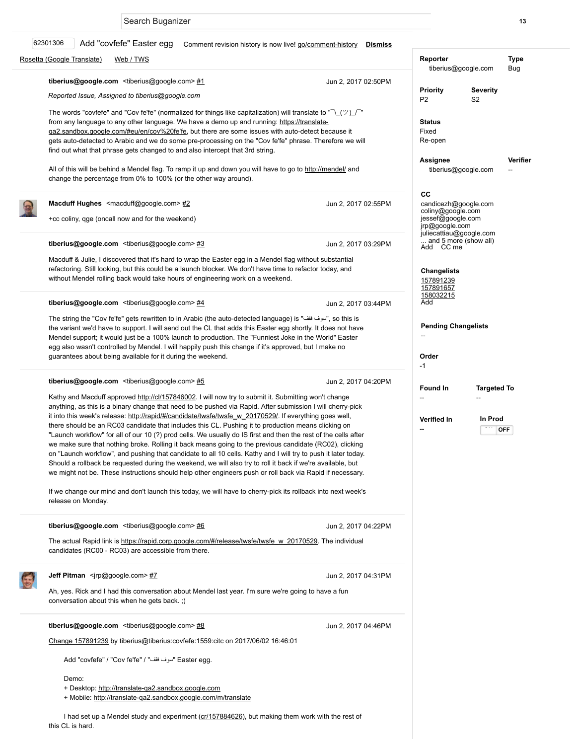## Comment revision history is now live! go/comm [Rosetta \(Google Translate\)](https://b.corp.google.com/issues?q=componentid%3A69%20status%3Aopen#) [Web / TWS](https://b.corp.google.com/issues?q=componentid%3A19135%20status%3Aopen#) Jun 2, 2017 02:50PM Jun 2, 2017 02:55PM Jun 2, 2017 03:29PM Jun 2, 2017 03:44PM Jun 2, 2017 04:20PM Jun 2, 2017 04:22PM Jun 2, 2017 04:31PM Jun 2, 2017 04:46PM Add "covfefe" Easter egg tiberius@google.com <tiberius@google.com> [#1](https://b.corp.google.com/issues/62301306#comment1) Reported Issue, Assigned to tiberius@google.com The words "covfefe" and "Cov fe'fe" (normalized for things like capitalization) will translate t [from any language to any other language. We have a demo up and running: https://translate](https://translate-qa2.sandbox.google.com/#eu/en/cov%20fe)ga2.sandbox.google.com/#eu/en/cov%20fe'fe, but there are some issues with auto-detect gets auto-detected to Arabic and we do some pre-processing on the "Cov fe'fe" phrase. The find out what that phrase gets changed to and also intercept that 3rd string. All of this will be behind a Mendel flag. To ramp it up and down you will have to go to http:// change the percentage from 0% to 100% (or the other way around). Macduff Hughes <macduff@google.com> [#2](https://b.corp.google.com/issues/62301306#comment2) +cc coliny, qge (oncall now and for the weekend) tiberius@google.com <tiberius@google.com> [#3](https://b.corp.google.com/issues/62301306#comment3) Macduff & Julie, I discovered that it's hard to wrap the Easter egg in a Mendel flag without s refactoring. Still looking, but this could be a launch blocker. We don't have time to refactor t without Mendel rolling back would take hours of engineering work on a weekend. tiberius@google.com <tiberius@google.com> $#4$ The string the "Cov fe'fe" gets rewritten to in Arabic (the auto-detected language) is "فقف", the variant we'd have to support. I will send out the CL that adds this Easter egg shortly. It do Mendel support; it would just be a 100% launch to production. The "Funniest Joke in the W egg also wasn't controlled by Mendel. I will happily push this change if it's approved, but I n guarantees about being available for it during the weekend. tiberius@google.com <tiberius@google.com>[#5](https://b.corp.google.com/issues/62301306#comment5) Kathy and Macduff approved [http://cl/157846002](https://www.google.com/url?q=http://cl/157846002&sa=D&usg=AFQjCNHi4G0FIBwT7QenTfRyO84V-nq3kA). I will now try to submit it. Submitting won anything, as this is a binary change that need to be pushed via Rapid. After submission I w it into this week's release: [http://rapid/#/candidate/twsfe/twsfe\\_w\\_20170529/.](https://www.google.com/url?q=http://rapid/%23/candidate/twsfe/twsfe_w_20170529/&sa=D&usg=AFQjCNG-38S_SIuHEaJ3kMVqnBRdLIcADg) If everything there should be an RC03 candidate that includes this CL. Pushing it to production means c "Launch workflow" for all of our 10 (?) prod cells. We usually do IS first and then the rest of we make sure that nothing broke. Rolling it back means going to the previous candidate (R on "Launch workflow", and pushing that candidate to all 10 cells. Kathy and I will try to push Should a rollback be requested during the weekend, we will also try to roll it back if we're available. we might not be. These instructions should help other engineers push or roll back via Rapid If we change our mind and don't launch this today, we will have to cherry-pick its rollback in release on Monday. tiberius@google.com <tiberius@google.com>[#6](https://b.corp.google.com/issues/62301306#comment6) The actual Rapid link is [https://rapid.corp.google.com/#/release/twsfe/twsfe\\_w\\_20170529.](https://rapid.corp.google.com/#/release/twsfe/twsfe_w_20170529) candidates (RC00 - RC03) are accessible from there. Jeff Pitman <jrp@google.com> [#7](https://b.corp.google.com/issues/62301306#comment7) Ah, yes. Rick and I had this conversation about Mendel last year. I'm sure we're going to ha conversation about this when he gets back. ;) tiberius@google.com <tiberius@google.com>[#8](https://b.corp.google.com/issues/62301306#comment8) [Change 157891239](https://critique.corp.google.com/157891239) by tiberius@tiberius:covfefe:1559:citc on 2017/06/02 16:46:01 Add "covfefe" / "Cov fe'fe" / "شوف فقف" / "Easter egg Demo: 62301306 Search Buganizer 13 and 2008 the search Buganizer 13 and 2008 the search Buganizer 13 and 2008 the search 13 and 2008 the search 13 and 2008 the search 13 and 2008 the search 13 and 2008 the search 13 and 2008 the search 1

+ Desktop: [http://translate-qa2.sandbox.google.com](http://translate-qa2.sandbox.google.com/)

+ Mobile: <http://translate-qa2.sandbox.google.com/m/translate>

I had set up a Mendel study and experiment ([cr/157884626\)](https://critique.corp.google.com/157884626), but making them work with the rest of this CL is hard.

| <u>nent-nistory</u><br><u>DISMISS</u>                                                                                                                                         |                                                                                                                   |                               |             |
|-------------------------------------------------------------------------------------------------------------------------------------------------------------------------------|-------------------------------------------------------------------------------------------------------------------|-------------------------------|-------------|
|                                                                                                                                                                               | Reporter<br>tiberius@google.com                                                                                   |                               | Type<br>Bug |
| Jun 2, 2017 02:50PM                                                                                                                                                           | <b>Priority</b><br>P <sub>2</sub>                                                                                 | Severity<br>S <sub>2</sub>    |             |
| <u>:е-</u><br>because it<br>erefore we will                                                                                                                                   | Status<br>Fixed<br>Re-open                                                                                        |                               |             |
| <u>mendel/</u> and                                                                                                                                                            | Verifier<br>Assignee<br>tiberius@google.com                                                                       |                               |             |
| Jun 2, 2017 02:55PM                                                                                                                                                           | CС<br>candicezh@google.com<br>coliny@google.com<br>jessef@google.com<br>jrp@google.com<br>juliecattiau@google.com |                               |             |
| Jun 2, 2017 03:29PM<br>substantial<br>oday, and                                                                                                                               | Add CC me<br><b>Changelists</b>                                                                                   | and 5 more (show all)         |             |
|                                                                                                                                                                               | 157891239<br><u>157891657</u><br>158032215<br>Add                                                                 |                               |             |
| Jun 2, 2017 03:44PM<br>so this is,"س<br>does not have<br>orld" Easter<br>nake no                                                                                              | <b>Pending Changelists</b><br>Order<br>-1                                                                         |                               |             |
| Jun 2, 2017 04:20PM<br>'t change<br>ill cherry-pick<br>goes well,<br>licking on<br>the cells after<br>C02), clicking<br>า it later today.<br>vailable, but<br>d if necessary. | Found In<br>--<br><b>Verified In</b>                                                                              | <b>Targeted To</b><br>In Prod | OFF         |
| ito next week's                                                                                                                                                               |                                                                                                                   |                               |             |
| Jun 2, 2017 04:22PM<br>The individual                                                                                                                                         |                                                                                                                   |                               |             |
| Jun 2, 2017 04:31PM<br>ave a fun                                                                                                                                              |                                                                                                                   |                               |             |
| Jun 2, 2017 04:46PM                                                                                                                                                           |                                                                                                                   |                               |             |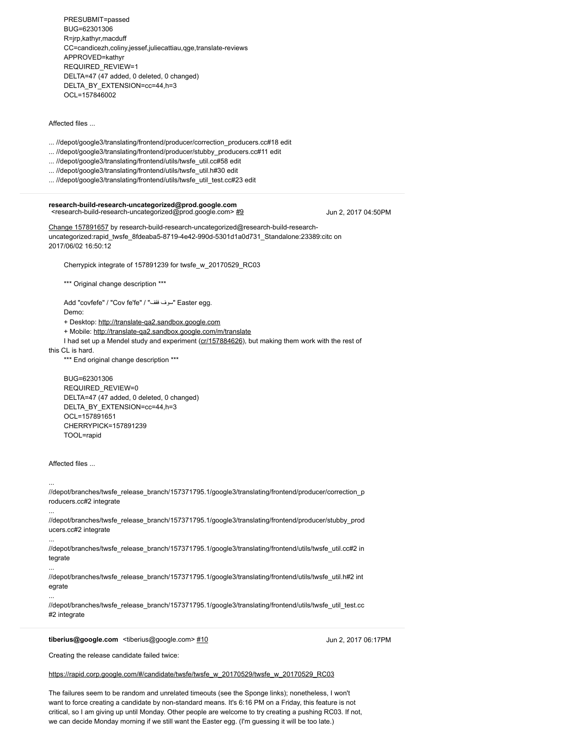PRESUBMIT=passed BUG=62301306 R=jrp,kathyr,macduff CC=candicezh,coliny,jessef,juliecattiau,qge,translate-reviews APPROVED=kathyr REQUIRED\_REVIEW=1 DELTA=47 (47 added, 0 deleted, 0 changed) DELTA\_BY\_EXTENSION=cc=44,h=3 OCL=157846002

Affected files ...

- ... //depot/google3/translating/frontend/producer/correction\_producers.cc#18 edit
- ... //depot/google3/translating/frontend/producer/stubby\_producers.cc#11 edit
- ... //depot/google3/translating/frontend/utils/twsfe\_util.cc#58 edit
- ... //depot/google3/translating/frontend/utils/twsfe\_util.h#30 edit
- ... //depot/google3/translating/frontend/utils/twsfe\_util\_test.cc#23 edit

# research-build-research-uncategorized@prod.google.com<br><research-build-research-uncategorized@prod.google.com>[#9](https://b.corp.google.com/issues/62301306#comment9)

Jun 2, 2017 04:50PM

[Change 157891657](https://critique.corp.google.com/157891657) by research-build-research-uncategorized@research-build-researchuncategorized:rapid\_twsfe\_8fdeaba5-8719-4e42-990d-5301d1a0d731\_Standalone:23389:citc on 2017/06/02 16:50:12

Cherrypick integrate of 157891239 for twsfe\_w\_20170529\_RC03

\*\*\* Original change description \*\*\*

Add "covfefe" / "Cov fe'fe" / " $\frac{1}{2}$ سوف فقف" Easter egg. Demo:

+ Desktop: [http://translate-qa2.sandbox.google.com](http://translate-qa2.sandbox.google.com/)

+ Mobile: <http://translate-qa2.sandbox.google.com/m/translate>

I had set up a Mendel study and experiment ([cr/157884626\)](https://critique.corp.google.com/157884626), but making them work with the rest of

this CL is hard.

\*\*\* End original change description \*\*\*

 BUG=62301306 REQUIRED\_REVIEW=0 DELTA=47 (47 added, 0 deleted, 0 changed) DELTA\_BY\_EXTENSION=cc=44,h=3 OCL=157891651 CHERRYPICK=157891239 TOOL=rapid

Affected files ...

...

...

...

...

...

//depot/branches/twsfe\_release\_branch/157371795.1/google3/translating/frontend/producer/correction\_p roducers.cc#2 integrate

//depot/branches/twsfe\_release\_branch/157371795.1/google3/translating/frontend/producer/stubby\_prod ucers.cc#2 integrate

//depot/branches/twsfe\_release\_branch/157371795.1/google3/translating/frontend/utils/twsfe\_util.cc#2 in tegrate

//depot/branches/twsfe\_release\_branch/157371795.1/google3/translating/frontend/utils/twsfe\_util.h#2 int egrate

//depot/branches/twsfe\_release\_branch/157371795.1/google3/translating/frontend/utils/twsfe\_util\_test.cc #2 integrate

tiberius@google.com <tiberius@google.com> [#10](https://b.corp.google.com/issues/62301306#comment10)

Jun 2, 2017 06:17PM

Creating the release candidate failed twice:

[https://rapid.corp.google.com/#/candidate/twsfe/twsfe\\_w\\_20170529/twsfe\\_w\\_20170529\\_RC03](https://rapid.corp.google.com/#/candidate/twsfe/twsfe_w_20170529/twsfe_w_20170529_RC03)

The failures seem to be random and unrelated timeouts (see the Sponge links); nonetheless, I won't want to force creating a candidate by non-standard means. It's 6:16 PM on a Friday, this feature is not critical, so I am giving up until Monday. Other people are welcome to try creating a pushing RC03. If not, we can decide Monday morning if we still want the Easter egg. (I'm guessing it will be too late.)